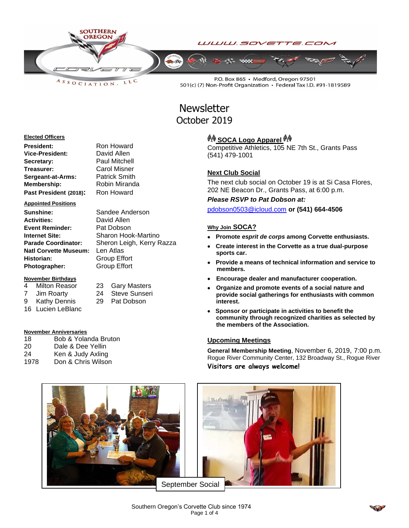

LLC  $A S S O C IAT I O N$ 

> Sandee Anderson **David Allen Pat Dobson**

**Len Atlas Historian:** Group Effort *<u>Group Effort</u>* 

**Sharon Hook-Martino Sheron Leigh, Kerry Razza** 

P.O. Box 865 · Medford, Oregon 97501 501(c) (7) Non-Profit Organization · Federal Tax I.D. #91-1819589

# **Newsletter** October 2019

#### **Elected Officers**

| President:             | Ron Howard           |
|------------------------|----------------------|
| Vice-President:        | David Allen          |
| Secretary:             | Paul Mitchell        |
| Treasurer:             | <b>Carol Misner</b>  |
| Sergeant-at-Arms:      | <b>Patrick Smith</b> |
| <b>Membership:</b>     | Robin Miranda        |
| Past President (2018): | Ron Howard           |

#### **Appointed Positions**

| <b>Sunshine:</b>             |
|------------------------------|
| <b>Activities:</b>           |
| <b>Event Reminder:</b>       |
| Internet Site:               |
| <b>Parade Coordinator:</b>   |
| <b>Natl Corvette Museum:</b> |
| Historian:                   |
| Photographer:                |

# **November Birthdays**

- 4 Milton Reasor 23 Gary Masters
- 7 Jim Roarty 24 Steve Sunseri
- 9 Kathy Dennis 29 Pat Dobson
- 16 Lucien LeBlanc

#### **November Anniversaries**

| 18   | Bob & Yolanda Bruton |
|------|----------------------|
| 20   | Dale & Dee Yellin    |
| 24   | Ken & Judy Axling    |
| 1978 | Don & Chris Wilson   |
|      |                      |

# **A<sup>t</sup> SOCA Logo Apparel At**

Competitive Athletics, 105 NE 7th St., Grants Pass (541) 479-1001

### **Next Club Social**

The next club social on October 19 is at Si Casa Flores, 202 NE Beacon Dr., Grants Pass, at 6:00 p.m.

*Please RSVP to Pat Dobson at:*

[pdobson0503@icloud.com](mailto:pdobson0503@icloud.com) **or (541) 664-4506**

#### **Why Join SOCA?**

- **Promote** *esprit de corps* **among Corvette enthusiasts.**
- **Create interest in the Corvette as a true dual-purpose sports car.**
- **Provide a means of technical information and service to members.**
- **Encourage dealer and manufacturer cooperation.**
- **Organize and promote events of a social nature and provide social gatherings for enthusiasts with common interest.**
- **Sponsor or participate in activities to benefit the community through recognized charities as selected by the members of the Association.**

### **Upcoming Meetings**

**General Membership Meeting**, November 6, 2019, 7:00 p.m. Rogue River Community Center, 132 Broadway St., Rogue River **Visitors are always welcome!**



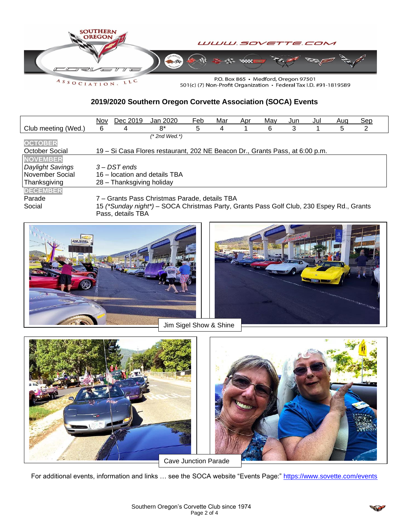

**2019/2020 Southern Oregon Corvette Association (SOCA) Events**

|                     | Nov | Dec 2019                  | Jan 2020                                                                                 | Feb | Mar | Apr | Mav | Jun | Jul | Aug | Sep |  |
|---------------------|-----|---------------------------|------------------------------------------------------------------------------------------|-----|-----|-----|-----|-----|-----|-----|-----|--|
| Club meeting (Wed.) | 6   | 4                         | 8*                                                                                       | 5   | 4   |     | 6   | 3   |     | 5   | 2   |  |
|                     |     |                           | (* 2nd Wed. *)                                                                           |     |     |     |     |     |     |     |     |  |
| <b>OCTOBER</b>      |     |                           |                                                                                          |     |     |     |     |     |     |     |     |  |
| October Social      |     |                           | 19 – Si Casa Flores restaurant, 202 NE Beacon Dr., Grants Pass, at 6:00 p.m.             |     |     |     |     |     |     |     |     |  |
| <b>NOVEMBER</b>     |     |                           |                                                                                          |     |     |     |     |     |     |     |     |  |
| Daylight Savings    |     | 3 – DST ends              |                                                                                          |     |     |     |     |     |     |     |     |  |
| November Social     |     |                           | 16 – location and details TBA                                                            |     |     |     |     |     |     |     |     |  |
| Thanksgiving        |     | 28 – Thanksgiving holiday |                                                                                          |     |     |     |     |     |     |     |     |  |
| <b>DECEMBER</b>     |     |                           |                                                                                          |     |     |     |     |     |     |     |     |  |
| Parade              |     |                           | 7 – Grants Pass Christmas Parade, details TBA                                            |     |     |     |     |     |     |     |     |  |
| Social              |     |                           | 15 (*Sunday night*) – SOCA Christmas Party, Grants Pass Golf Club, 230 Espey Rd., Grants |     |     |     |     |     |     |     |     |  |
|                     |     | Pass, details TBA         |                                                                                          |     |     |     |     |     |     |     |     |  |





For additional events, information and links ... see the SOCA website "Events Page:"<https://www.sovette.com/events>

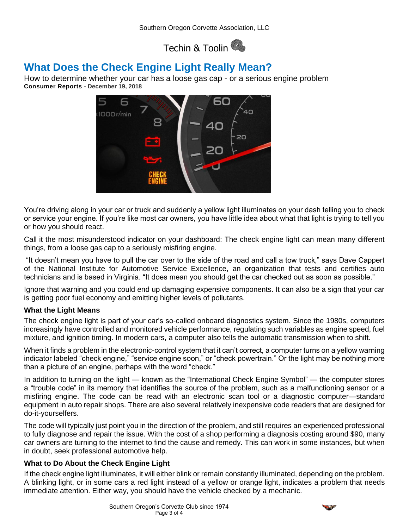Techin & Toolin

# **What Does the Check Engine Light Really Mean?**

How to determine whether your car has a loose gas cap - or a serious engine problem **Consumer Reports - December 19, 2018**



You're driving along in your car or truck and suddenly a yellow light illuminates on your dash telling you to check or service your engine. If you're like most car owners, you have little idea about what that light is trying to tell you or how you should react.

Call it the most misunderstood indicator on your dashboard: The check engine light can mean many different things, from a loose gas cap to a seriously misfiring engine.

"It doesn't mean you have to pull the car over to the side of the road and call a tow truck," says Dave Cappert of the National Institute for Automotive Service Excellence, an organization that tests and certifies auto technicians and is based in Virginia. "It does mean you should get the car checked out as soon as possible."

Ignore that warning and you could end up damaging expensive components. It can also be a sign that your car is getting poor fuel economy and emitting higher levels of pollutants.

## **What the Light Means**

The check engine light is part of your car's so-called onboard diagnostics system. Since the 1980s, computers increasingly have controlled and monitored vehicle performance, regulating such variables as engine speed, fuel mixture, and ignition timing. In modern cars, a computer also tells the automatic transmission when to shift.

When it finds a problem in the electronic-control system that it can't correct, a computer turns on a yellow warning indicator labeled "check engine," "service engine soon," or "check powertrain." Or the light may be nothing more than a picture of an engine, perhaps with the word "check."

In addition to turning on the light — known as the "International Check Engine Symbol" — the computer stores a "trouble code" in its memory that identifies the source of the problem, such as a malfunctioning sensor or a misfiring engine. The code can be read with an electronic scan tool or a diagnostic computer—standard equipment in auto repair shops. There are also several relatively inexpensive code readers that are designed for do-it-yourselfers.

The code will typically just point you in the direction of the problem, and still requires an experienced professional to fully diagnose and repair the issue. With the cost of a shop performing a diagnosis costing around \$90, many car owners are turning to the internet to find the cause and remedy. This can work in some instances, but when in doubt, seek professional automotive help.

## **What to Do About the Check Engine Light**

If the check engine light illuminates, it will either blink or remain constantly illuminated, depending on the problem. A blinking light, or in some cars a red light instead of a yellow or orange light, indicates a problem that needs immediate attention. Either way, you should have the vehicle checked by a mechanic.